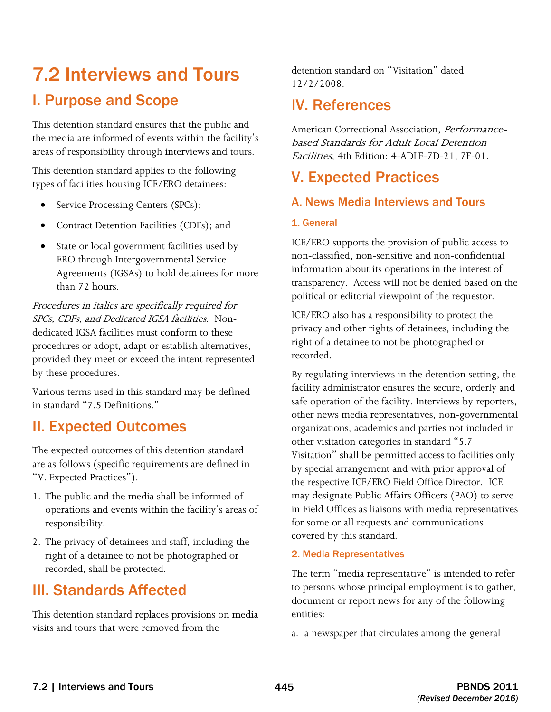# I. Purpose and Scope 7.2 Interviews and Tours

This detention standard ensures that the public and the media are informed of events within the facility's areas of responsibility through interviews and tours.

This detention standard applies to the following types of facilities housing ICE/ERO detainees:

- Service Processing Centers (SPCs);
- Contract Detention Facilities (CDFs); and
- State or local government facilities used by ERO through Intergovernmental Service Agreements (IGSAs) to hold detainees for more than 72 hours.

 SPCs, CDFs, and Dedicated IGSA facilities. Non-Procedures in italics are specifically required for dedicated IGSA facilities must conform to these procedures or adopt, adapt or establish alternatives, provided they meet or exceed the intent represented by these procedures.

Various terms used in this standard may be defined in standard "7.5 Definitions."

## II. Expected Outcomes

The expected outcomes of this detention standard are as follows (specific requirements are defined in "V. Expected Practices").

- 1. The public and the media shall be informed of operations and events within the facility's areas of responsibility.
- 2. The privacy of detainees and staff, including the right of a detainee to not be photographed or recorded, shall be protected.

## III. Standards Affected

This detention standard replaces provisions on media visits and tours that were removed from the

detention standard on "Visitation" dated 12/2/2008.

## IV. References

American Correctional Association, Performancebased Standards for Adult Local Detention Facilities, 4th Edition: 4-ADLF-7D-21, 7F-01.

## V. Expected Practices

### A. News Media Interviews and Tours

#### 1. General

ICE/ERO supports the provision of public access to non-classified, non-sensitive and non-confidential information about its operations in the interest of transparency. Access will not be denied based on the political or editorial viewpoint of the requestor.

ICE/ERO also has a responsibility to protect the privacy and other rights of detainees, including the right of a detainee to not be photographed or recorded.

 may designate Public Affairs Officers (PAO) to serve By regulating interviews in the detention setting, the facility administrator ensures the secure, orderly and safe operation of the facility. Interviews by reporters, other news media representatives, non-governmental organizations, academics and parties not included in other visitation categories in standard "5.7 Visitation" shall be permitted access to facilities only by special arrangement and with prior approval of the respective ICE/ERO Field Office Director. ICE in Field Offices as liaisons with media representatives for some or all requests and communications covered by this standard.

#### 2. Media Representatives

The term "media representative" is intended to refer to persons whose principal employment is to gather, document or report news for any of the following entities:

a. a newspaper that circulates among the general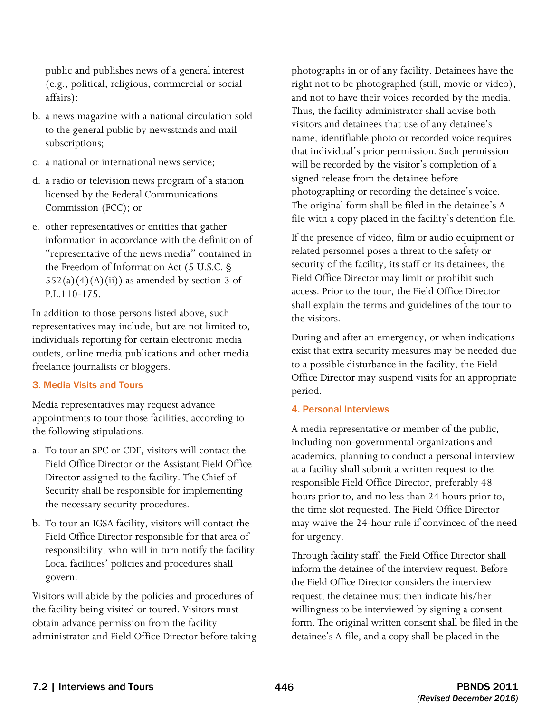public and publishes news of a general interest (e.g., political, religious, commercial or social affairs):

- b. a news magazine with a national circulation sold to the general public by newsstands and mail subscriptions;
- c. a national or international news service;
- d. a radio or television news program of a station licensed by the Federal Communications Commission (FCC); or
- e. other representatives or entities that gather information in accordance with the definition of "representative of the news media" contained in the Freedom of Information Act (5 U.S.C. §  $552(a)(4)(A)(ii)$  as amended by section 3 of P.L.110-175.

In addition to those persons listed above, such representatives may include, but are not limited to, individuals reporting for certain electronic media outlets, online media publications and other media freelance journalists or bloggers.

#### 3. Media Visits and Tours

Media representatives may request advance appointments to tour those facilities, according to the following stipulations.

- a. To tour an SPC or CDF, visitors will contact the Field Office Director or the Assistant Field Office Director assigned to the facility. The Chief of Security shall be responsible for implementing the necessary security procedures.
- b. To tour an IGSA facility, visitors will contact the Field Office Director responsible for that area of responsibility, who will in turn notify the facility. Local facilities' policies and procedures shall govern.

Visitors will abide by the policies and procedures of the facility being visited or toured. Visitors must obtain advance permission from the facility administrator and Field Office Director before taking photographs in or of any facility. Detainees have the right not to be photographed (still, movie or video), and not to have their voices recorded by the media. Thus, the facility administrator shall advise both visitors and detainees that use of any detainee's name, identifiable photo or recorded voice requires that individual's prior permission. Such permission will be recorded by the visitor's completion of a signed release from the detainee before photographing or recording the detainee's voice. The original form shall be filed in the detainee's Afile with a copy placed in the facility's detention file.

If the presence of video, film or audio equipment or related personnel poses a threat to the safety or security of the facility, its staff or its detainees, the Field Office Director may limit or prohibit such access. Prior to the tour, the Field Office Director shall explain the terms and guidelines of the tour to the visitors.

During and after an emergency, or when indications exist that extra security measures may be needed due to a possible disturbance in the facility, the Field Office Director may suspend visits for an appropriate period.

#### 4. Personal Interviews

A media representative or member of the public, including non-governmental organizations and academics, planning to conduct a personal interview at a facility shall submit a written request to the responsible Field Office Director, preferably 48 hours prior to, and no less than 24 hours prior to, the time slot requested. The Field Office Director may waive the 24-hour rule if convinced of the need for urgency.

 Through facility staff, the Field Office Director shall inform the detainee of the interview request. Before the Field Office Director considers the interview request, the detainee must then indicate his/her willingness to be interviewed by signing a consent form. The original written consent shall be filed in the detainee's A-file, and a copy shall be placed in the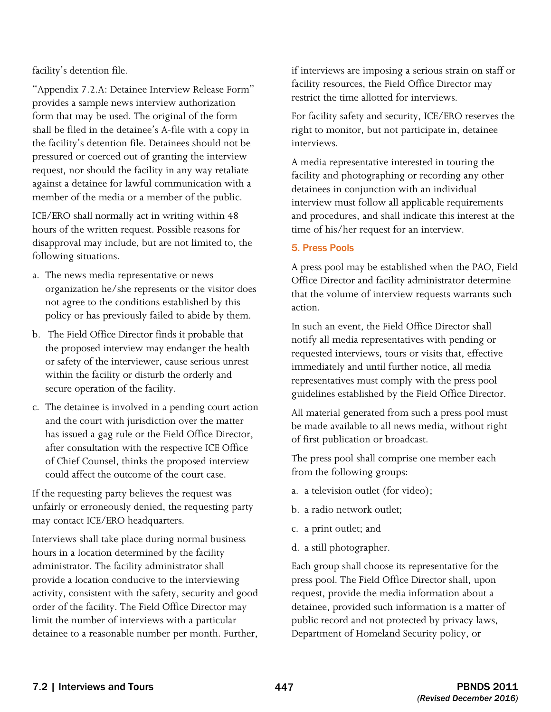facility's detention file.

"Appendix 7.2.A: Detainee Interview Release Form" provides a sample news interview authorization form that may be used. The original of the form shall be filed in the detainee's A-file with a copy in the facility's detention file. Detainees should not be pressured or coerced out of granting the interview request, nor should the facility in any way retaliate against a detainee for lawful communication with a member of the media or a member of the public.

ICE/ERO shall normally act in writing within 48 hours of the written request. Possible reasons for disapproval may include, but are not limited to, the following situations.

- a. The news media representative or news organization he/she represents or the visitor does not agree to the conditions established by this policy or has previously failed to abide by them.
- the proposed interview may endanger the health within the facility or disturb the orderly and b. The Field Office Director finds it probable that or safety of the interviewer, cause serious unrest secure operation of the facility.
- c. The detainee is involved in a pending court action and the court with jurisdiction over the matter has issued a gag rule or the Field Office Director, after consultation with the respective ICE Office of Chief Counsel, thinks the proposed interview could affect the outcome of the court case.

If the requesting party believes the request was unfairly or erroneously denied, the requesting party may contact ICE/ERO headquarters.

Interviews shall take place during normal business hours in a location determined by the facility administrator. The facility administrator shall provide a location conducive to the interviewing activity, consistent with the safety, security and good order of the facility. The Field Office Director may limit the number of interviews with a particular detainee to a reasonable number per month. Further, if interviews are imposing a serious strain on staff or facility resources, the Field Office Director may restrict the time allotted for interviews.

For facility safety and security, ICE/ERO reserves the right to monitor, but not participate in, detainee interviews.

A media representative interested in touring the facility and photographing or recording any other detainees in conjunction with an individual interview must follow all applicable requirements and procedures, and shall indicate this interest at the time of his/her request for an interview.

#### 5. Press Pools

A press pool may be established when the PAO, Field Office Director and facility administrator determine that the volume of interview requests warrants such action.

In such an event, the Field Office Director shall notify all media representatives with pending or requested interviews, tours or visits that, effective immediately and until further notice, all media representatives must comply with the press pool guidelines established by the Field Office Director.

All material generated from such a press pool must be made available to all news media, without right of first publication or broadcast.

The press pool shall comprise one member each from the following groups:

- a. a television outlet (for video);
- b. a radio network outlet;
- c. a print outlet; and
- d. a still photographer.

Each group shall choose its representative for the press pool. The Field Office Director shall, upon request, provide the media information about a detainee, provided such information is a matter of public record and not protected by privacy laws, Department of Homeland Security policy, or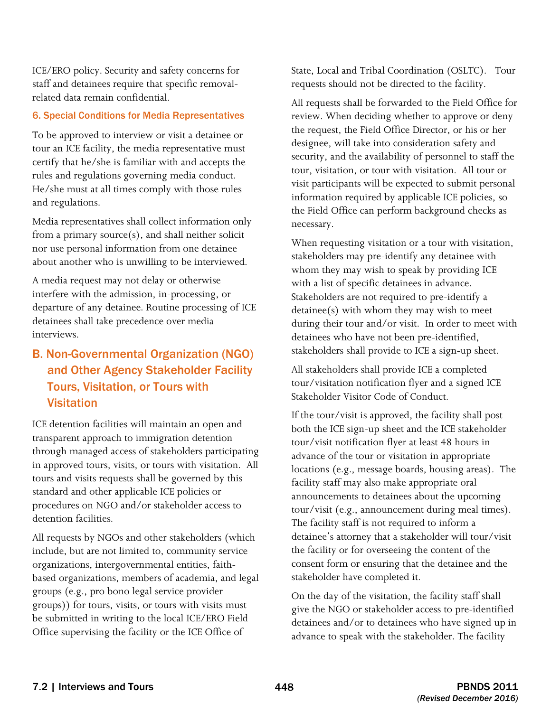ICE/ERO policy. Security and safety concerns for staff and detainees require that specific removalrelated data remain confidential.

#### 6. Special Conditions for Media Representatives

To be approved to interview or visit a detainee or tour an ICE facility, the media representative must certify that he/she is familiar with and accepts the rules and regulations governing media conduct. He/she must at all times comply with those rules and regulations.

Media representatives shall collect information only from a primary source(s), and shall neither solicit nor use personal information from one detainee about another who is unwilling to be interviewed.

A media request may not delay or otherwise interfere with the admission, in-processing, or departure of any detainee. Routine processing of ICE detainees shall take precedence over media interviews.

### Tours, Visitation, or Tours with B. Non-Governmental Organization (NGO) and Other Agency Stakeholder Facility Visitation

 in approved tours, visits, or tours with visitation. All detention facilities. ICE detention facilities will maintain an open and transparent approach to immigration detention through managed access of stakeholders participating tours and visits requests shall be governed by this standard and other applicable ICE policies or procedures on NGO and/or stakeholder access to

All requests by NGOs and other stakeholders (which include, but are not limited to, community service organizations, intergovernmental entities, faithbased organizations, members of academia, and legal groups (e.g., pro bono legal service provider groups)) for tours, visits, or tours with visits must be submitted in writing to the local ICE/ERO Field Office supervising the facility or the ICE Office of

State, Local and Tribal Coordination (OSLTC). Tour requests should not be directed to the facility.

All requests shall be forwarded to the Field Office for review. When deciding whether to approve or deny the request, the Field Office Director, or his or her designee, will take into consideration safety and security, and the availability of personnel to staff the tour, visitation, or tour with visitation. All tour or visit participants will be expected to submit personal information required by applicable ICE policies, so the Field Office can perform background checks as necessary.

with a list of specific detainees in advance. When requesting visitation or a tour with visitation, stakeholders may pre-identify any detainee with whom they may wish to speak by providing ICE Stakeholders are not required to pre-identify a detainee(s) with whom they may wish to meet during their tour and/or visit. In order to meet with detainees who have not been pre-identified, stakeholders shall provide to ICE a sign-up sheet.

All stakeholders shall provide ICE a completed tour/visitation notification flyer and a signed ICE Stakeholder Visitor Code of Conduct.

 tour/visit (e.g., announcement during meal times). The facility staff is not required to inform a detainee's attorney that a stakeholder will tour/visit If the tour/visit is approved, the facility shall post both the ICE sign-up sheet and the ICE stakeholder tour/visit notification flyer at least 48 hours in advance of the tour or visitation in appropriate locations (e.g., message boards, housing areas). The facility staff may also make appropriate oral announcements to detainees about the upcoming the facility or for overseeing the content of the consent form or ensuring that the detainee and the stakeholder have completed it.

On the day of the visitation, the facility staff shall give the NGO or stakeholder access to pre-identified detainees and/or to detainees who have signed up in advance to speak with the stakeholder. The facility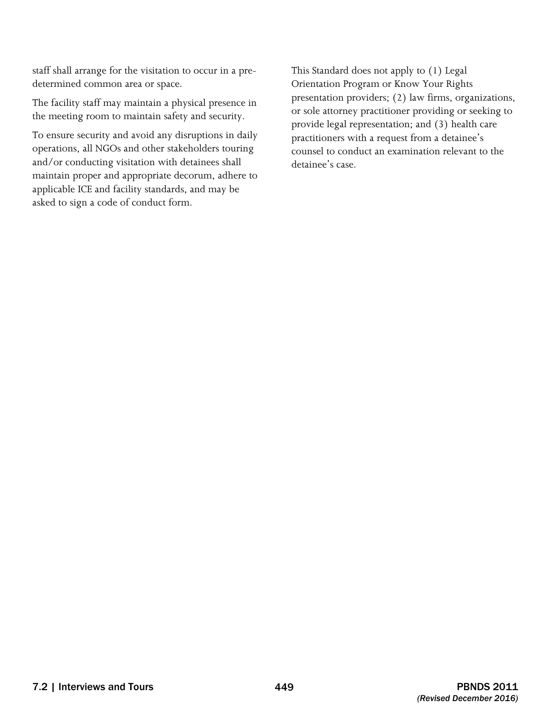staff shall arrange for the visitation to occur in a predetermined common area or space.

The facility staff may maintain a physical presence in the meeting room to maintain safety and security.

To ensure security and avoid any disruptions in daily operations, all NGOs and other stakeholders touring and/or conducting visitation with detainees shall maintain proper and appropriate decorum, adhere to applicable ICE and facility standards, and may be asked to sign a code of conduct form.

This Standard does not apply to (1) Legal Orientation Program or Know Your Rights presentation providers; (2) law firms, organizations, or sole attorney practitioner providing or seeking to provide legal representation; and (3) health care practitioners with a request from a detainee's counsel to conduct an examination relevant to the detainee's case.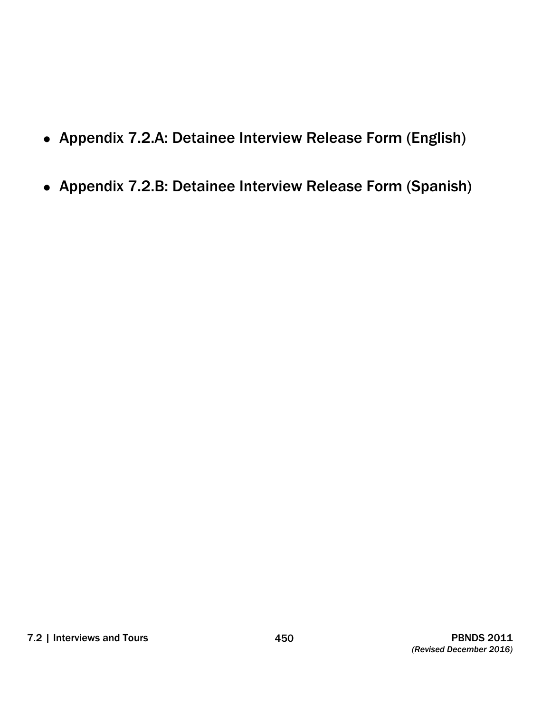- Appendix 7.2.A: Detainee Interview Release Form (English)
- Appendix 7.2.B: Detainee Interview Release Form (Spanish)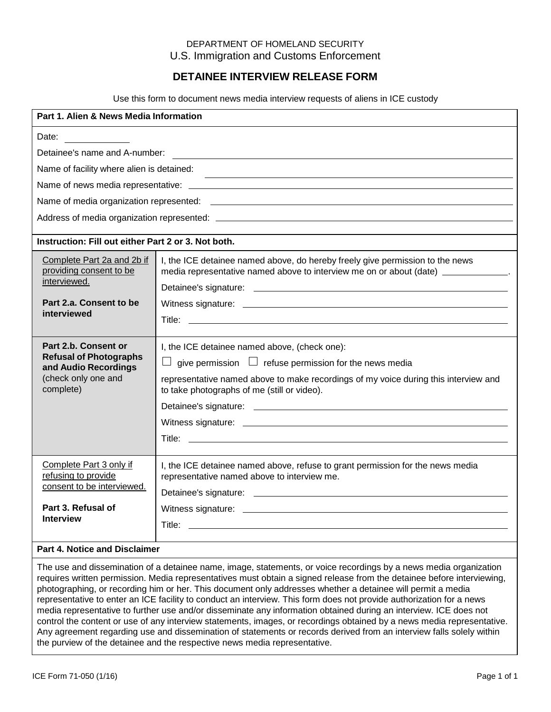#### DEPARTMENT OF HOMELAND SECURITY U.S. Immigration and Customs Enforcement

#### **DETAINEE INTERVIEW RELEASE FORM**

Use this form to document news media interview requests of aliens in ICE custody

| Part 1. Alien & News Media Information                                                                            |                                                                                                                                                                                                                                                              |  |
|-------------------------------------------------------------------------------------------------------------------|--------------------------------------------------------------------------------------------------------------------------------------------------------------------------------------------------------------------------------------------------------------|--|
| Date:                                                                                                             |                                                                                                                                                                                                                                                              |  |
| Detainee's name and A-number:                                                                                     |                                                                                                                                                                                                                                                              |  |
| Name of facility where alien is detained:                                                                         |                                                                                                                                                                                                                                                              |  |
|                                                                                                                   |                                                                                                                                                                                                                                                              |  |
|                                                                                                                   |                                                                                                                                                                                                                                                              |  |
|                                                                                                                   |                                                                                                                                                                                                                                                              |  |
| Instruction: Fill out either Part 2 or 3. Not both.                                                               |                                                                                                                                                                                                                                                              |  |
| Complete Part 2a and 2b if<br>providing consent to be<br>interviewed.                                             | I, the ICE detainee named above, do hereby freely give permission to the news<br>media representative named above to interview me on or about (date) ____________.                                                                                           |  |
| Part 2.a. Consent to be<br>interviewed                                                                            |                                                                                                                                                                                                                                                              |  |
| Part 2.b. Consent or<br><b>Refusal of Photographs</b><br>and Audio Recordings<br>(check only one and<br>complete) | I, the ICE detainee named above, (check one):<br>give permission $\Box$ refuse permission for the news media<br>$\Box$<br>representative named above to make recordings of my voice during this interview and<br>to take photographs of me (still or video). |  |
| Complete Part 3 only if<br>refusing to provide<br>consent to be interviewed.                                      | I, the ICE detainee named above, refuse to grant permission for the news media<br>representative named above to interview me.                                                                                                                                |  |
| Part 3. Refusal of<br><b>Interview</b>                                                                            |                                                                                                                                                                                                                                                              |  |
| <b>Part 4. Notice and Disclaimer</b>                                                                              |                                                                                                                                                                                                                                                              |  |

 The use and dissemination of a detainee name, image, statements, or voice recordings by a news media organization requires written permission. Media representatives must obtain a signed release from the detainee before interviewing, photographing, or recording him or her. This document only addresses whether a detainee will permit a media representative to enter an ICE facility to conduct an interview. This form does not provide authorization for a news media representative to further use and/or disseminate any information obtained during an interview. ICE does not control the content or use of any interview statements, images, or recordings obtained by a news media representative. Any agreement regarding use and dissemination of statements or records derived from an interview falls solely within the purview of the detainee and the respective news media representative.